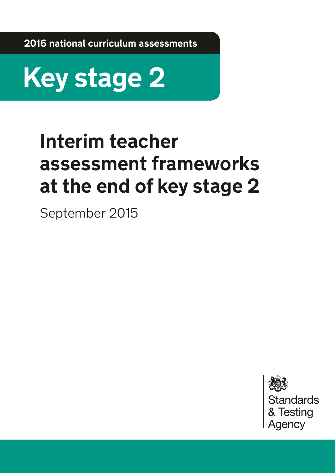**2016 national curriculum assessments**



# **Interim teacher assessment frameworks at the end of key stage 2**

September 2015

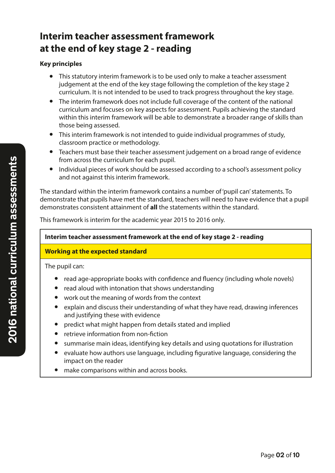# **Interim teacher assessment framework at the end of key stage 2 - reading**

#### **Key principles**

- This statutory interim framework is to be used only to make a teacher assessment judgement at the end of the key stage following the completion of the key stage 2 curriculum. It is not intended to be used to track progress throughout the key stage.
- The interim framework does not include full coverage of the content of the national curriculum and focuses on key aspects for assessment. Pupils achieving the standard within this interim framework will be able to demonstrate a broader range of skills than those being assessed.
- This interim framework is not intended to guide individual programmes of study, classroom practice or methodology.
- Teachers must base their teacher assessment judgement on a broad range of evidence from across the curriculum for each pupil.
- Individual pieces of work should be assessed according to a school's assessment policy and not against this interim framework.

The standard within the interim framework contains a number of 'pupil can' statements. To demonstrate that pupils have met the standard, teachers will need to have evidence that a pupil demonstrates consistent attainment of **all** the statements within the standard.

This framework is interim for the academic year 2015 to 2016 only.

#### **Interim teacher assessment framework at the end of key stage 2 - reading**

## **Working at the expected standard**

The pupil can:

- read age-appropriate books with confidence and fluency (including whole novels)
- read aloud with intonation that shows understanding
- work out the meaning of words from the context
- explain and discuss their understanding of what they have read, drawing inferences and justifying these with evidence
- predict what might happen from details stated and implied
- retrieve information from non-fiction
- summarise main ideas, identifying key details and using quotations for illustration
- evaluate how authors use language, including figurative language, considering the impact on the reader
- make comparisons within and across books.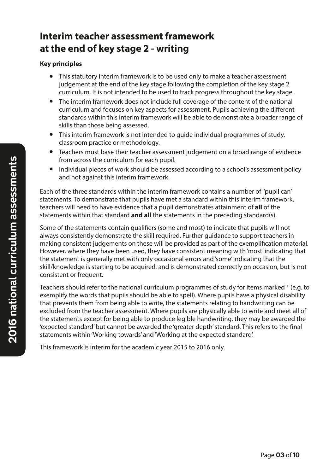# **Interim teacher assessment framework at the end of key stage 2 - writing**

#### **Key principles**

- This statutory interim framework is to be used only to make a teacher assessment judgement at the end of the key stage following the completion of the key stage 2 curriculum. It is not intended to be used to track progress throughout the key stage.
- The interim framework does not include full coverage of the content of the national curriculum and focuses on key aspects for assessment. Pupils achieving the different standards within this interim framework will be able to demonstrate a broader range of skills than those being assessed.
- This interim framework is not intended to guide individual programmes of study, classroom practice or methodology.
- Teachers must base their teacher assessment judgement on a broad range of evidence from across the curriculum for each pupil.
- Individual pieces of work should be assessed according to a school's assessment policy and not against this interim framework.

Each of the three standards within the interim framework contains a number of 'pupil can' statements. To demonstrate that pupils have met a standard within this interim framework, teachers will need to have evidence that a pupil demonstrates attainment of **all** of the statements within that standard **and all** the statements in the preceding standard(s).

Some of the statements contain qualifiers (some and most) to indicate that pupils will not always consistently demonstrate the skill required. Further guidance to support teachers in making consistent judgements on these will be provided as part of the exemplification material. However, where they have been used, they have consistent meaning with 'most' indicating that the statement is generally met with only occasional errors and 'some' indicating that the skill/knowledge is starting to be acquired, and is demonstrated correctly on occasion, but is not consistent or frequent.

Teachers should refer to the national curriculum programmes of study for items marked \* (e.g. to exemplify the words that pupils should be able to spell). Where pupils have a physical disability that prevents them from being able to write, the statements relating to handwriting can be excluded from the teacher assessment. Where pupils are physically able to write and meet all of the statements except for being able to produce legible handwriting, they may be awarded the 'expected standard' but cannot be awarded the 'greater depth' standard. This refers to the final statements within 'Working towards' and 'Working at the expected standard'.

This framework is interim for the academic year 2015 to 2016 only.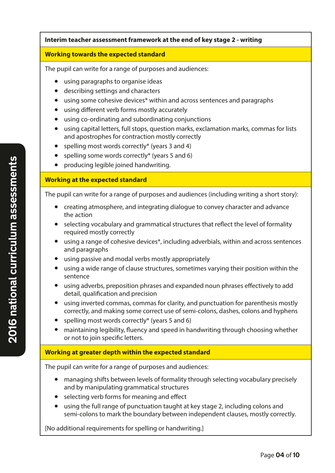#### **Interim teacher assessment framework at the end of key stage 2 - writing**

#### **Working towards the expected standard**

The pupil can write for a range of purposes and audiences:

- using paragraphs to organise ideas
- describing settings and characters
- using some cohesive devices\* within and across sentences and paragraphs
- using different verb forms mostly accurately
- using co-ordinating and subordinating conjunctions
- using capital letters, full stops, question marks, exclamation marks, commas for lists and apostrophes for contraction mostly correctly
- spelling most words correctly\* (years 3 and 4)
- spelling some words correctly\* (years 5 and 6)
- producing legible joined handwriting.

#### **Working at the expected standard**

The pupil can write for a range of purposes and audiences (including writing a short story):

- creating atmosphere, and integrating dialogue to convey character and advance the action
- selecting vocabulary and grammatical structures that reflect the level of formality required mostly correctly
- using a range of cohesive devices\*, including adverbials, within and across sentences and paragraphs
- using passive and modal verbs mostly appropriately
- using a wide range of clause structures, sometimes varying their position within the sentence
- using adverbs, preposition phrases and expanded noun phrases effectively to add detail, qualification and precision
- using inverted commas, commas for clarity, and punctuation for parenthesis mostly correctly, and making some correct use of semi-colons, dashes, colons and hyphens
- spelling most words correctly\* (years 5 and 6)
- maintaining legibility, fluency and speed in handwriting through choosing whether or not to join specific letters.

#### **Working at greater depth within the expected standard**

The pupil can write for a range of purposes and audiences:

- managing shifts between levels of formality through selecting vocabulary precisely and by manipulating grammatical structures
- selecting verb forms for meaning and effect
- using the full range of punctuation taught at key stage 2, including colons and semi-colons to mark the boundary between independent clauses, mostly correctly.

[No additional requirements for spelling or handwriting.]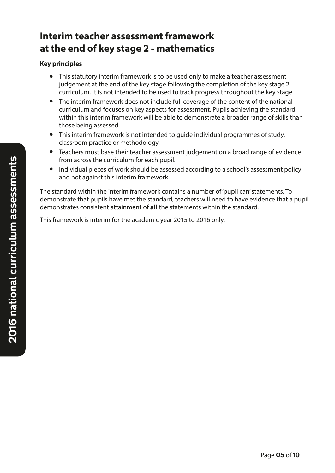## **Interim teacher assessment framework at the end of key stage 2 - mathematics**

### **Key principles**

- This statutory interim framework is to be used only to make a teacher assessment judgement at the end of the key stage following the completion of the key stage 2 curriculum. It is not intended to be used to track progress throughout the key stage.
- The interim framework does not include full coverage of the content of the national curriculum and focuses on key aspects for assessment. Pupils achieving the standard within this interim framework will be able to demonstrate a broader range of skills than those being assessed.
- This interim framework is not intended to guide individual programmes of study, classroom practice or methodology.
- Teachers must base their teacher assessment judgement on a broad range of evidence from across the curriculum for each pupil.
- Individual pieces of work should be assessed according to a school's assessment policy and not against this interim framework.

The standard within the interim framework contains a number of 'pupil can' statements. To demonstrate that pupils have met the standard, teachers will need to have evidence that a pupil demonstrates consistent attainment of **all** the statements within the standard.

This framework is interim for the academic year 2015 to 2016 only.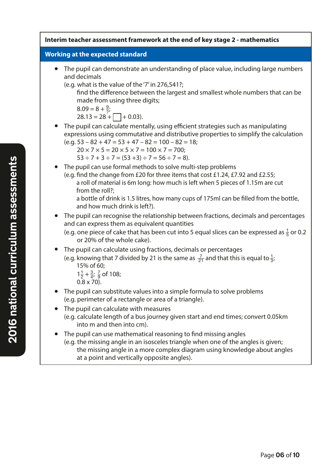#### **Interim teacher assessment framework at the end of key stage 2 - mathematics**

#### **Working at the expected standard**

- The pupil can demonstrate an understanding of place value, including large numbers and decimals
	- (e.g. what is the value of the '7' in 276,541?;
		- find the difference between the largest and smallest whole numbers that can be made from using three digits;

 $8.09 = 8 + \frac{9}{2}$ 

$$
28.13 = 28 + \boxed{\phantom{0}} + 0.03
$$

• The pupil can calculate mentally, using efficient strategies such as manipulating expressions using commutative and distributive properties to simplify the calculation  $(e.g. 53 - 82 + 47 = 53 + 47 - 82 = 100 - 82 = 18;$ 

$$
20 \times 7 \times 5 = 20 \times 5 \times 7 = 100 \times 7 = 700;
$$

 $53 \div 7 + 3 \div 7 = (53 + 3) \div 7 = 56 \div 7 = 8$ .

- The pupil can use formal methods to solve multi-step problems
	- (e.g. find the change from £20 for three items that cost £1.24, £7.92 and £2.55; a roll of material is 6m long: how much is left when 5 pieces of 1.15m are cut from the roll?;

 a bottle of drink is 1.5 litres, how many cups of 175ml can be filled from the bottle, and how much drink is left?).

- The pupil can recognise the relationship between fractions, decimals and percentages and can express them as equivalent quantities
	- (e.g. one piece of cake that has been cut into 5 equal slices can be expressed as  $\frac{1}{5}$  or 0.2 or 20% of the whole cake).
- The pupil can calculate using fractions, decimals or percentages (e.g. knowing that 7 divided by 21 is the same as  $\frac{7}{21}$  and that this is equal to  $\frac{1}{3}$

 15% of 60;  $1\frac{1}{2} + \frac{3}{4}$ ;  $\frac{7}{9}$  of 108;  $0.8 \times 70$ .

- The pupil can substitute values into a simple formula to solve problems (e.g. perimeter of a rectangle or area of a triangle).
- The pupil can calculate with measures (e.g. calculate length of a bus journey given start and end times; convert 0.05km into m and then into cm).
- The pupil can use mathematical reasoning to find missing angles (e.g. the missing angle in an isosceles triangle when one of the angles is given; the missing angle in a more complex diagram using knowledge about angles at a point and vertically opposite angles).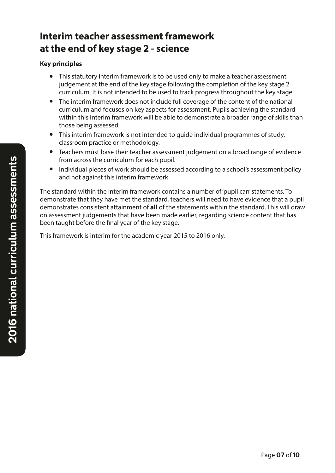# **Interim teacher assessment framework at the end of key stage 2 - science**

#### **Key principles**

- This statutory interim framework is to be used only to make a teacher assessment judgement at the end of the key stage following the completion of the key stage 2 curriculum. It is not intended to be used to track progress throughout the key stage.
- The interim framework does not include full coverage of the content of the national curriculum and focuses on key aspects for assessment. Pupils achieving the standard within this interim framework will be able to demonstrate a broader range of skills than those being assessed.
- This interim framework is not intended to guide individual programmes of study, classroom practice or methodology.
- Teachers must base their teacher assessment judgement on a broad range of evidence from across the curriculum for each pupil.
- Individual pieces of work should be assessed according to a school's assessment policy and not against this interim framework.

The standard within the interim framework contains a number of 'pupil can' statements. To demonstrate that they have met the standard, teachers will need to have evidence that a pupil demonstrates consistent attainment of **all** of the statements within the standard. This will draw on assessment judgements that have been made earlier, regarding science content that has been taught before the final year of the key stage.

This framework is interim for the academic year 2015 to 2016 only.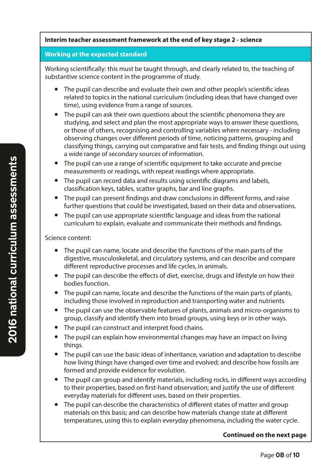#### **Interim teacher assessment framework at the end of key stage 2 - science**

#### **Working at the expected standard**

Working scientifically: this must be taught through, and clearly related to, the teaching of substantive science content in the programme of study.

- The pupil can describe and evaluate their own and other people's scientific ideas related to topics in the national curriculum (including ideas that have changed over time), using evidence from a range of sources.
- The pupil can ask their own questions about the scientific phenomena they are studying, and select and plan the most appropriate ways to answer these questions, or those of others, recognising and controlling variables where necessary - including observing changes over different periods of time, noticing patterns, grouping and classifying things, carrying out comparative and fair tests, and finding things out using a wide range of secondary sources of information.
- The pupil can use a range of scientific equipment to take accurate and precise measurements or readings, with repeat readings where appropriate.
- The pupil can record data and results using scientific diagrams and labels, classification keys, tables, scatter graphs, bar and line graphs.
- The pupil can present findings and draw conclusions in different forms, and raise further questions that could be investigated, based on their data and observations.
- The pupil can use appropriate scientific language and ideas from the national curriculum to explain, evaluate and communicate their methods and findings.

#### Science content:

- The pupil can name, locate and describe the functions of the main parts of the digestive, musculoskeletal, and circulatory systems, and can describe and compare different reproductive processes and life cycles, in animals.
- The pupil can describe the effects of diet, exercise, drugs and lifestyle on how their bodies function.
- The pupil can name, locate and describe the functions of the main parts of plants, including those involved in reproduction and transporting water and nutrients.
- The pupil can use the observable features of plants, animals and micro-organisms to group, classify and identify them into broad groups, using keys or in other ways.
- The pupil can construct and interpret food chains.
- The pupil can explain how environmental changes may have an impact on living things.
- The pupil can use the basic ideas of inheritance, variation and adaptation to describe how living things have changed over time and evolved; and describe how fossils are formed and provide evidence for evolution.
- The pupil can group and identify materials, including rocks, in different ways according to their properties, based on first-hand observation; and justify the use of different everyday materials for different uses, based on their properties.
- The pupil can describe the characteristics of different states of matter and group materials on this basis; and can describe how materials change state at different temperatures, using this to explain everyday phenomena, including the water cycle.

#### **Continued on the next page**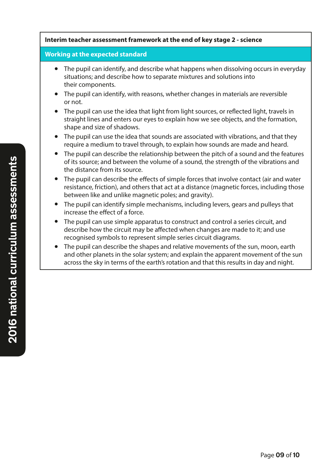#### **Interim teacher assessment framework at the end of key stage 2 - science**

#### **Working at the expected standard**

- The pupil can identify, and describe what happens when dissolving occurs in everyday situations; and describe how to separate mixtures and solutions into their components.
- The pupil can identify, with reasons, whether changes in materials are reversible or not.
- The pupil can use the idea that light from light sources, or reflected light, travels in straight lines and enters our eyes to explain how we see objects, and the formation, shape and size of shadows.
- The pupil can use the idea that sounds are associated with vibrations, and that they require a medium to travel through, to explain how sounds are made and heard.
- The pupil can describe the relationship between the pitch of a sound and the features of its source; and between the volume of a sound, the strength of the vibrations and the distance from its source.
- The pupil can describe the effects of simple forces that involve contact (air and water resistance, friction), and others that act at a distance (magnetic forces, including those between like and unlike magnetic poles; and gravity).
- The pupil can identify simple mechanisms, including levers, gears and pulleys that increase the effect of a force.
- The pupil can use simple apparatus to construct and control a series circuit, and describe how the circuit may be affected when changes are made to it; and use recognised symbols to represent simple series circuit diagrams.
- The pupil can describe the shapes and relative movements of the sun, moon, earth and other planets in the solar system; and explain the apparent movement of the sun across the sky in terms of the earth's rotation and that this results in day and night.